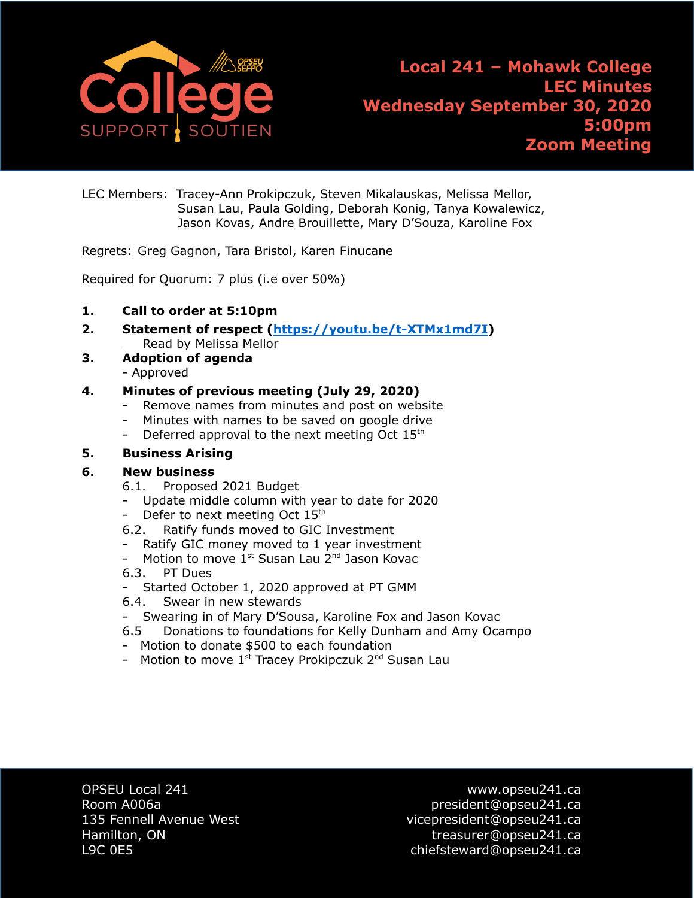

LEC Members: Tracey-Ann Prokipczuk, Steven Mikalauskas, Melissa Mellor, Susan Lau, Paula Golding, Deborah Konig, Tanya Kowalewicz, Jason Kovas, Andre Brouillette, Mary D'Souza, Karoline Fox

Regrets: Greg Gagnon, Tara Bristol, Karen Finucane

Required for Quorum: 7 plus (i.e over 50%)

- **1. Call to order at 5:10pm**
- **2. Statement of respect [\(https://youtu.be/t-XTMx1md7I\)](https://youtu.be/t-XTMx1md7I)** Read by Melissa Mellor
- **3. Adoption of agenda** - Approved

### **4. Minutes of previous meeting (July 29, 2020)**

- Remove names from minutes and post on website
- Minutes with names to be saved on google drive
- Deferred approval to the next meeting Oct  $15<sup>th</sup>$

#### **5. Business Arising**

#### **6. New business**

- 6.1. Proposed 2021 Budget
- Update middle column with year to date for 2020
- Defer to next meeting Oct 15<sup>th</sup>
- 6.2. Ratify funds moved to GIC Investment
- Ratify GIC money moved to 1 year investment
- Motion to move  $1^{st}$  Susan Lau  $2^{nd}$  Jason Kovac
- 6.3. PT Dues
- Started October 1, 2020 approved at PT GMM
- 6.4. Swear in new stewards
- Swearing in of Mary D'Sousa, Karoline Fox and Jason Kovac
- 6.5 Donations to foundations for Kelly Dunham and Amy Ocampo
- Motion to donate \$500 to each foundation
- Motion to move  $1^{st}$  Tracey Prokipczuk  $2^{nd}$  Susan Lau

OPSEU Local 241 www.opseu241.ca

Room A006a **president@opseu241.ca** 135 Fennell Avenue West vicepresident@opseu241.ca Hamilton, ON treasurer@opseu241.ca L9C 0E5